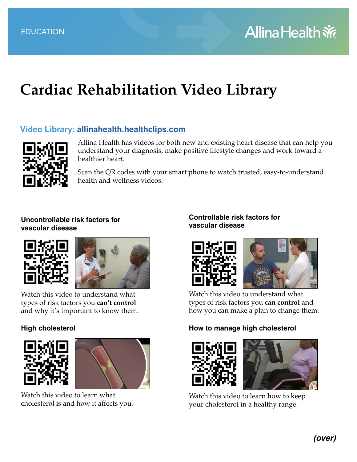# **Cardiac Rehabilitation Video Library**

# **Video Library: [allinahealth.healthclips.com](https://allinahealth.healthclips.com/)**



Allina Health has videos for both new and existing heart disease that can help you understand your diagnosis, make positive lifestyle changes and work toward a healthier heart.

Scan the QR codes with your smart phone to watch trusted, easy-to-understand health and wellness videos.

#### **Uncontrollable risk factors for vascular disease**





Watch this video to understand what types of risk factors you **can't control** and why it's important to know them.

## **High cholesterol**





Watch this video to learn what cholesterol is and how it affects you.

## **Controllable risk factors for vascular disease**



Watch this video to understand what types of risk factors you **can control** and how you can make a plan to change them.

## **How to manage high cholesterol**



Watch this video to learn how to keep your cholesterol in a healthy range.